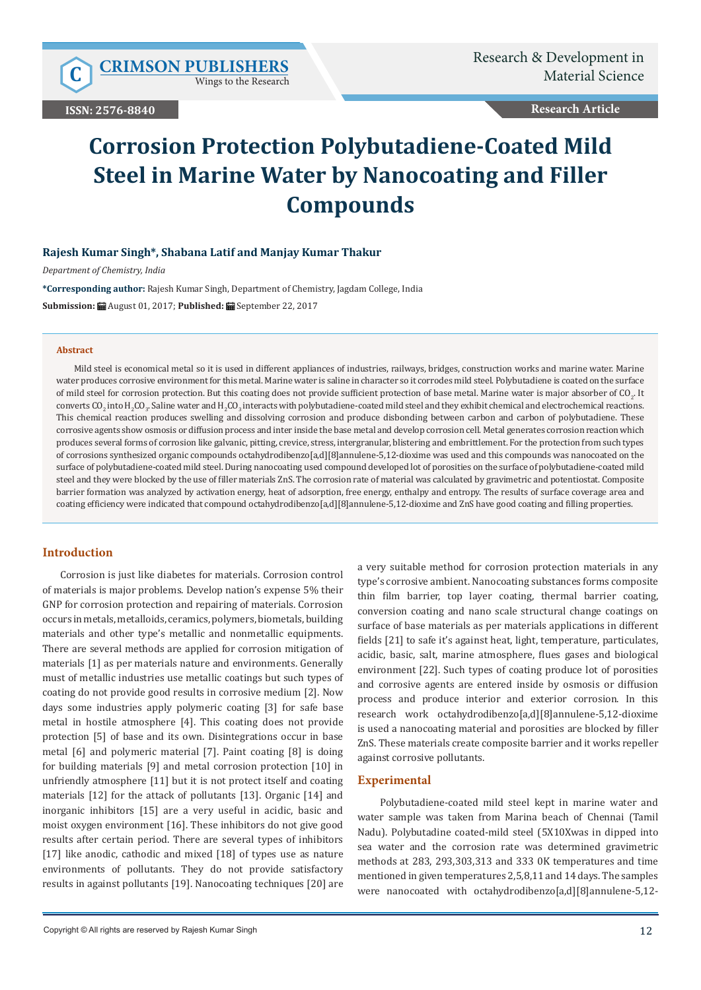Wings to the Research

**ISSN: 2576-8840**

**Research Article**

# **Corrosion Protection Polybutadiene-Coated Mild Steel in Marine Water by Nanocoating and Filler Compounds**

### **Rajesh Kumar Singh\*, Shabana Latif and Manjay Kumar Thakur**

*Department of Chemistry, India*

**\*Corresponding author:** Rajesh Kumar Singh, Department of Chemistry, Jagdam College, India **Submission:** August 01, 2017; **Published:** September 22, 2017

#### **Abstract**

Mild steel is economical metal so it is used in different appliances of industries, railways, bridges, construction works and marine water. Marine water produces corrosive environment for this metal. Marine water is saline in character so it corrodes mild steel. Polybutadiene is coated on the surface of mild steel for corrosion protection. But this coating does not provide sufficient protection of base metal. Marine water is major absorber of CO<sub>2</sub>. It converts  $\rm CO_2$  into  $\rm H_2CO_3$ . Saline water and  $\rm H_2CO_3$  interacts with polybutadiene-coated mild steel and they exhibit chemical and electrochemical reactions. This chemical reaction produces swelling and dissolving corrosion and produce disbonding between carbon and carbon of polybutadiene. These corrosive agents show osmosis or diffusion process and inter inside the base metal and develop corrosion cell. Metal generates corrosion reaction which produces several forms of corrosion like galvanic, pitting, crevice, stress, intergranular, blistering and embrittlement. For the protection from such types of corrosions synthesized organic compounds octahydrodibenzo[a,d][8]annulene-5,12-dioxime was used and this compounds was nanocoated on the surface of polybutadiene-coated mild steel. During nanocoating used compound developed lot of porosities on the surface of polybutadiene-coated mild steel and they were blocked by the use of filler materials ZnS. The corrosion rate of material was calculated by gravimetric and potentiostat. Composite barrier formation was analyzed by activation energy, heat of adsorption, free energy, enthalpy and entropy. The results of surface coverage area and coating efficiency were indicated that compound octahydrodibenzo[a,d][8]annulene-5,12-dioxime and ZnS have good coating and filling properties.

#### **Introduction**

Corrosion is just like diabetes for materials. Corrosion control of materials is major problems. Develop nation's expense 5% their GNP for corrosion protection and repairing of materials. Corrosion occurs in metals, metalloids, ceramics, polymers, biometals, building materials and other type's metallic and nonmetallic equipments. There are several methods are applied for corrosion mitigation of materials [1] as per materials nature and environments. Generally must of metallic industries use metallic coatings but such types of coating do not provide good results in corrosive medium [2]. Now days some industries apply polymeric coating [3] for safe base metal in hostile atmosphere [4]. This coating does not provide protection [5] of base and its own. Disintegrations occur in base metal [6] and polymeric material [7]. Paint coating [8] is doing for building materials [9] and metal corrosion protection [10] in unfriendly atmosphere [11] but it is not protect itself and coating materials [12] for the attack of pollutants [13]. Organic [14] and inorganic inhibitors [15] are a very useful in acidic, basic and moist oxygen environment [16]. These inhibitors do not give good results after certain period. There are several types of inhibitors [17] like anodic, cathodic and mixed [18] of types use as nature environments of pollutants. They do not provide satisfactory results in against pollutants [19]. Nanocoating techniques [20] are

a very suitable method for corrosion protection materials in any type's corrosive ambient. Nanocoating substances forms composite thin film barrier, top layer coating, thermal barrier coating, conversion coating and nano scale structural change coatings on surface of base materials as per materials applications in different fields [21] to safe it's against heat, light, temperature, particulates, acidic, basic, salt, marine atmosphere, flues gases and biological environment [22]. Such types of coating produce lot of porosities and corrosive agents are entered inside by osmosis or diffusion process and produce interior and exterior corrosion. In this research work octahydrodibenzo[a,d][8]annulene-5,12-dioxime is used a nanocoating material and porosities are blocked by filler ZnS. These materials create composite barrier and it works repeller against corrosive pollutants.

## **Experimental**

 Polybutadiene-coated mild steel kept in marine water and water sample was taken from Marina beach of Chennai (Tamil Nadu). Polybutadine coated-mild steel (5X10Xwas in dipped into sea water and the corrosion rate was determined gravimetric methods at 283, 293,303,313 and 333 0K temperatures and time mentioned in given temperatures 2,5,8,11 and 14 days. The samples were nanocoated with octahydrodibenzo[a,d][8]annulene-5,12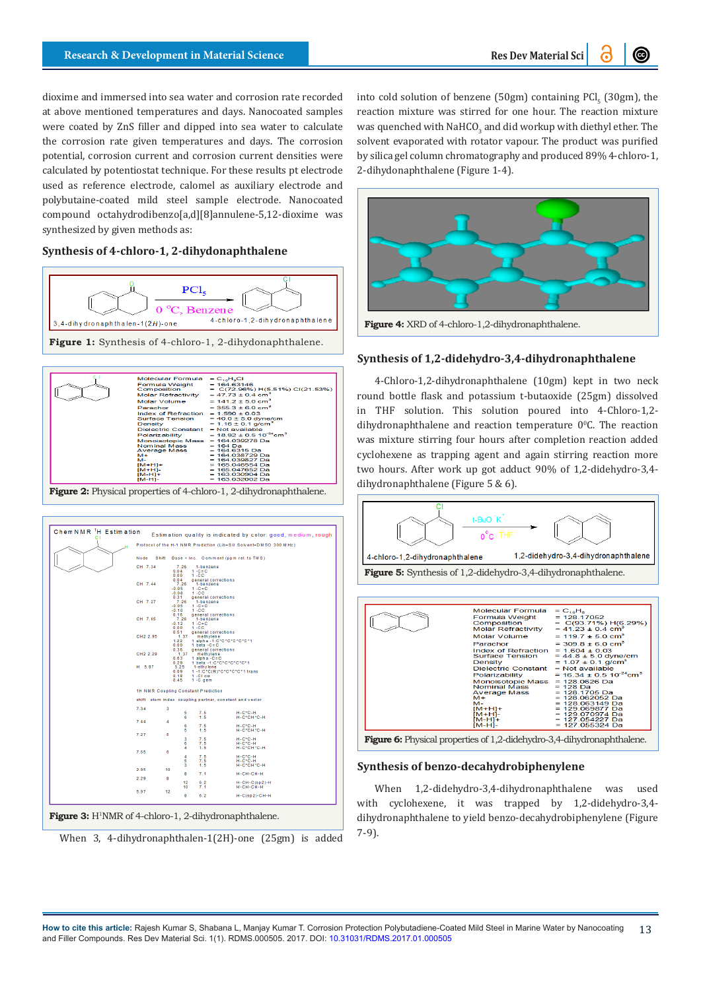dioxime and immersed into sea water and corrosion rate recorded at above mentioned temperatures and days. Nanocoated samples were coated by ZnS filler and dipped into sea water to calculate the corrosion rate given temperatures and days. The corrosion potential, corrosion current and corrosion current densities were calculated by potentiostat technique. For these results pt electrode used as reference electrode, calomel as auxiliary electrode and polybutaine-coated mild steel sample electrode. Nanocoated compound octahydrodibenzo[a,d][8]annulene-5,12-dioxime was synthesized by given methods as:

# **Synthesis of 4-chloro-1, 2-dihydonaphthalene**





**Figure 2:** Physical properties of 4-chloro-1, 2-dihydronaphthalene.

| C.I |            |                                    |                                                                                   | Estimation quality is indicated by color: good, medium, rough<br>Protocol of the H-1 NMR Prediction (Lib=SU Solvent=DMSO 300 MHz): |
|-----|------------|------------------------------------|-----------------------------------------------------------------------------------|------------------------------------------------------------------------------------------------------------------------------------|
|     |            |                                    |                                                                                   |                                                                                                                                    |
|     | Node       |                                    |                                                                                   | Shift Base + Inc. Comment (ppm rel. to TMS)                                                                                        |
|     | CH 7.34    | 7.26<br>0.04<br>0.00               | 1-benzene<br>$1 - C = C$<br>$1 - CC$                                              |                                                                                                                                    |
|     | CH 7.44    | 0.04<br>7.26<br>$-0.05$<br>$-0.08$ | general corrections<br>1-benzene<br>$1 - C = C$<br>$1 - CC$                       |                                                                                                                                    |
|     | CH 7.27    | 0.31<br>7.26<br>$-0.05$<br>$-0.10$ | general corrections<br>1-benzene<br>$1 - C = C$<br>$1 - CC$                       |                                                                                                                                    |
|     | CH 7.65    | 0.16<br>7.26<br>$-0.12$<br>0.00    | general corrections<br>1-benzene<br>$1 - C = C$<br>$1 - CC$                       |                                                                                                                                    |
|     | CH2 2.95   | 0.51<br>1.37<br>1.22<br>0.00       | general corrections<br>methylene<br>1 alpha - 1: C*C*C*C*C*C*1<br>1 beta $-C = C$ |                                                                                                                                    |
|     | CH2 2.29   | 0.36<br>1.37<br>0.63<br>0.29       | general corrections<br>methylene<br>1 alpha $-C = C$<br>1 beta -1:C*C*C*C*C*C*1   |                                                                                                                                    |
|     | H 5.97     | 5.25<br>0.09<br>0.18<br>0.45       | 1-ethylene<br>$1 - C1 cis$<br>$1 - C$ gem                                         | 1-1:C*C(R)*C*C*C*C*1 trans                                                                                                         |
|     |            |                                    | 1H NMR Coupling Constant Prediction                                               |                                                                                                                                    |
|     |            |                                    |                                                                                   | shift atom index coupling partner, constant and vector                                                                             |
|     | 7.34<br>3  | 5<br>6                             | 7.5<br>1.5                                                                        | $H-C^*C-H$<br>H-C*CH*C-H                                                                                                           |
|     | 7.44<br>4  | 6<br>5                             | 7.5<br>1.5                                                                        | $H-C+C-H$<br>H-C*CH*C-H                                                                                                            |
|     | 7.27<br>5  | 3<br>6                             | 7.5<br>7.5                                                                        | $H-C+C-H$<br>$H - C^*C - H$                                                                                                        |
|     | 7.65<br>6  | 4<br>$\overline{4}$<br>5           | 1.5<br>7.5<br>7.5                                                                 | H-C*CH*C-H<br>$H-C+C-H$<br>$H-C^*C-H$                                                                                              |
|     | 2.95<br>10 | з                                  | 1.5                                                                               | H-C*CH*C-H                                                                                                                         |
|     | 2.29<br>8  | 8                                  | 7.1                                                                               | $H-CH-CH-H$                                                                                                                        |
|     |            | 12<br>10                           | 6.2<br>7.1                                                                        | $H-CH-C(sp2) - H$<br>H-CH-CH-H                                                                                                     |
|     | 5.97<br>12 | 8                                  | 6.2                                                                               | $H-C(sp2)-CH-H$                                                                                                                    |

Figure 3: H<sup>1</sup>NMR of 4-chloro-1, 2-dihydronaphthalene.

When 3, 4-dihydronaphthalen-1(2H)-one (25gm) is added

into cold solution of benzene (50gm) containing  $\text{PCl}_5^{\text{}}$  (30gm), the reaction mixture was stirred for one hour. The reaction mixture was quenched with NaHCO $_3$  and did workup with diethyl ether. The  $\,$ solvent evaporated with rotator vapour. The product was purified by silica gel column chromatography and produced 89% 4-chloro-1, 2-dihydonaphthalene (Figure 1-4).



**Figure 4:** XRD of 4-chloro-1,2-dihydronaphthalene.

# **Synthesis of 1,2-didehydro-3,4-dihydronaphthalene**

4-Chloro-1,2-dihydronaphthalene (10gm) kept in two neck round bottle flask and potassium t-butaoxide (25gm) dissolved in THF solution. This solution poured into 4-Chloro-1,2 dihydronaphthalene and reaction temperature  $0^{\circ}$ C. The reaction was mixture stirring four hours after completion reaction added cyclohexene as trapping agent and again stirring reaction more two hours. After work up got adduct 90% of 1,2-didehydro-3,4 dihydronaphthalene (Figure 5 & 6).



### **Synthesis of benzo-decahydrobiphenylene**

When 1,2-didehydro-3,4-dihydronaphthalene was used with cyclohexene, it was trapped by 1,2-didehydro-3,4 dihydronaphthalene to yield benzo-decahydrobiphenylene (Figure 7-9).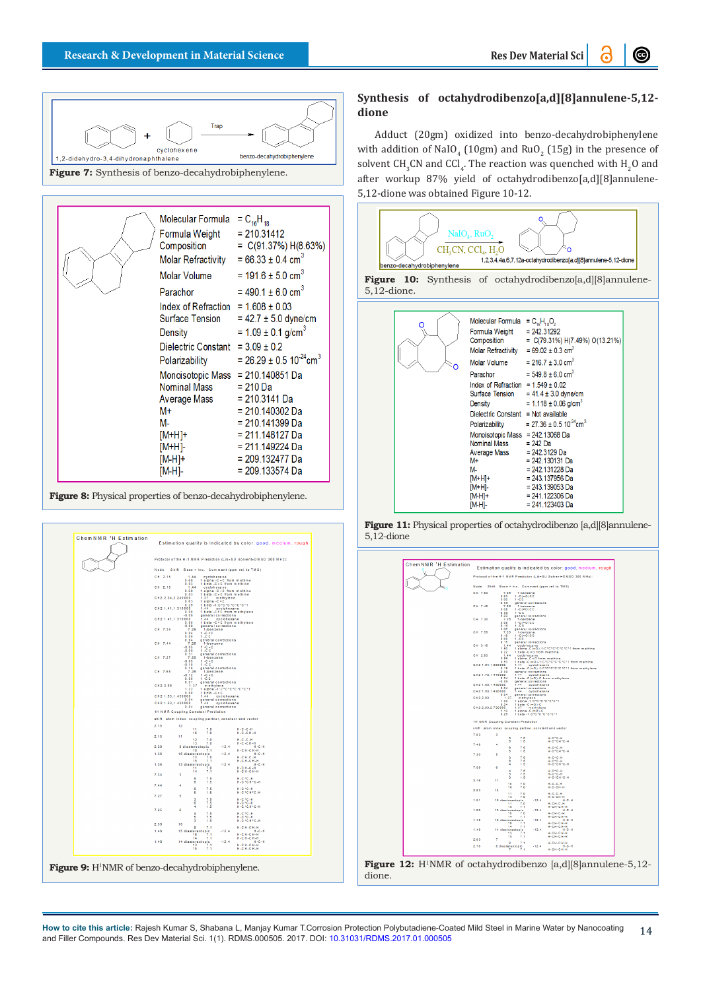

| Molecular Formula = $C_{16}H_{18}$<br>Formula Weight<br>Molar Refractivity = $66.33 \pm 0.4$ cm <sup>3</sup><br>Molar Volume = $191.6 \pm 5.0 \text{ cm}^3$<br>Parachor<br>Index of Refraction = $1.608 \pm 0.03$<br>Density | $= 210.31412$<br>Composition = $C(91.37%) H(8.63%)$<br>= 490.1 $\pm$ 6.0 cm <sup>3</sup><br>Surface Tension = $42.7 \pm 5.0$ dyne/cm<br>= $1.09 \pm 0.1$ g/cm <sup>3</sup> |  |  |
|------------------------------------------------------------------------------------------------------------------------------------------------------------------------------------------------------------------------------|----------------------------------------------------------------------------------------------------------------------------------------------------------------------------|--|--|
| Dielectric Constant = $3.09 \pm 0.2$                                                                                                                                                                                         | Polarizability = $26.29 \pm 0.5$ 10 <sup>-24</sup> cm <sup>3</sup>                                                                                                         |  |  |
| Monoisotopic Mass = 210.140851 Da<br>Nominal Mass = 210 Da<br>Average Mass = 210.3141 Da<br>M+<br>M-<br>$[M+H]+$<br>[M+H]-<br>[M-H]+<br>$[M-H]-$                                                                             | = 210.140302 Da<br>= 210.141399 Da<br>= 211.148127 Da<br>= 211.149224 Da<br>$= 209.132477$ Da<br>$= 209.133574$ Da                                                         |  |  |





# **Synthesis of octahydrodibenzo[a,d][8]annulene-5,12 dione**

Adduct (20gm) oxidized into benzo-decahydrobiphenylene with addition of NaIO<sub>4</sub> (10gm) and  $RuO_{2}$  (15g) in the presence of solvent CH<sub>3</sub>CN and CCl<sub>4</sub>. The reaction was quenched with H<sub>2</sub>O and after workup 87% yield of octahydrodibenzo[a,d][8]annulene-5,12-dione was obtained Figure 10-12.



**Figure 11:** Physical properties of octahydrodibenzo [a,d][8]annulene-5,12-dione

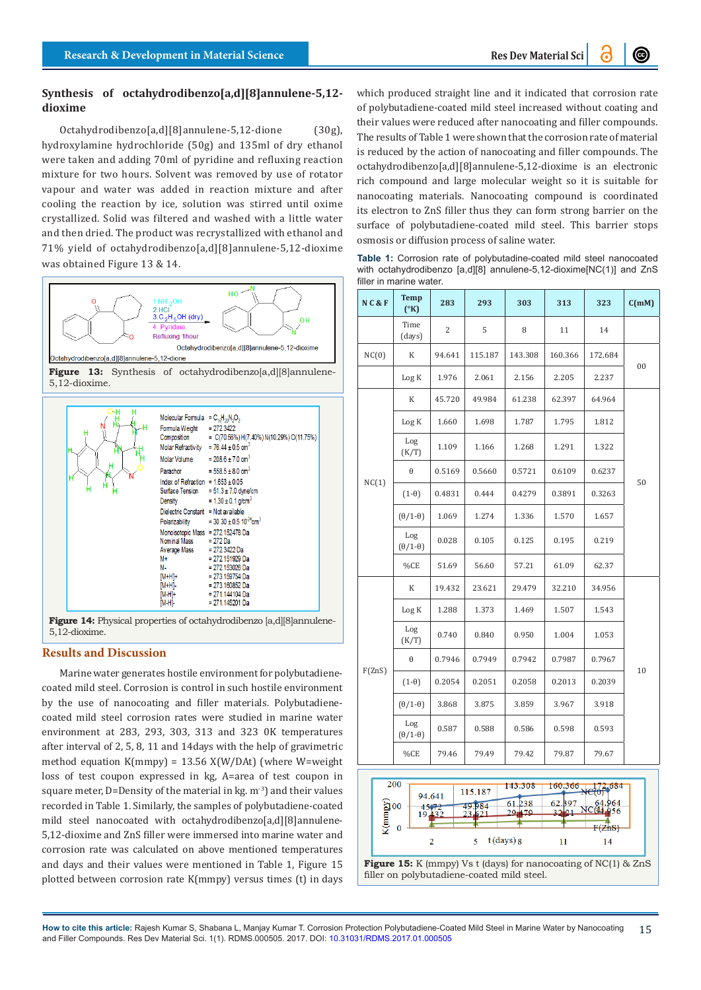## **Synthesis of octahydrodibenzo[a,d][8]annulene-5,12 dioxime**

Octahydrodibenzo[a,d][8]annulene-5,12-dione (30g), hydroxylamine hydrochloride (50g) and 135ml of dry ethanol were taken and adding 70ml of pyridine and refluxing reaction mixture for two hours. Solvent was removed by use of rotator vapour and water was added in reaction mixture and after cooling the reaction by ice, solution was stirred until oxime crystallized. Solid was filtered and washed with a little water and then dried. The product was recrystallized with ethanol and 71% yield of octahydrodibenzo[a,d][8]annulene-5,12-dioxime was obtained Figure 13 & 14.



Figure 13: Synthesis of octahydrodibenzo[a,d][8]annulene-5,12-dioxime.



5,12-dioxime.

## **Results and Discussion**

Marine water generates hostile environment for polybutadienecoated mild steel. Corrosion is control in such hostile environment by the use of nanocoating and filler materials. Polybutadienecoated mild steel corrosion rates were studied in marine water environment at 283, 293, 303, 313 and 323 0K temperatures after interval of 2, 5, 8, 11 and 14days with the help of gravimetric method equation K(mmpy) = 13.56 X(W/DAt) (where W=weight loss of test coupon expressed in kg, A=area of test coupon in square meter, D=Density of the material in kg.  $m<sup>3</sup>$  and their values recorded in Table 1. Similarly, the samples of polybutadiene-coated mild steel nanocoated with octahydrodibenzo[a,d][8]annulene-5,12-dioxime and ZnS filler were immersed into marine water and corrosion rate was calculated on above mentioned temperatures and days and their values were mentioned in Table 1, Figure 15 plotted between corrosion rate K(mmpy) versus times (t) in days

which produced straight line and it indicated that corrosion rate of polybutadiene-coated mild steel increased without coating and their values were reduced after nanocoating and filler compounds. The results of Table 1 were shown that the corrosion rate of material is reduced by the action of nanocoating and filler compounds. The octahydrodibenzo[a,d][8]annulene-5,12-dioxime is an electronic rich compound and large molecular weight so it is suitable for nanocoating materials. Nanocoating compound is coordinated its electron to ZnS filler thus they can form strong barrier on the surface of polybutadiene-coated mild steel. This barrier stops osmosis or diffusion process of saline water.

**Table 1:** Corrosion rate of polybutadine-coated mild steel nanocoated with octahydrodibenzo [a,d][8] annulene-5,12-dioxime[NC(1)] and ZnS filler in marine water.

| N C & F | <b>Temp</b><br>$(^{\circ}K)$ | 283            | 293     | 303     | 313     | 323     | C(mM)  |  |
|---------|------------------------------|----------------|---------|---------|---------|---------|--------|--|
|         | Time<br>(days)               | $\overline{2}$ | 5       | 8       | 11      | 14      |        |  |
| NC(0)   | K                            | 94.641         | 115.187 | 143.308 | 160.366 | 172.684 | $00\,$ |  |
|         | Log K                        | 1.976          | 2.061   | 2.156   | 2.205   | 2.237   |        |  |
|         | K                            | 45.720         | 49.984  | 61.238  | 62.397  | 64.964  |        |  |
|         | Log K                        | 1.660          | 1.698   | 1.787   | 1.795   | 1.812   |        |  |
|         | Log<br>(K/T)                 | 1.109          | 1.166   | 1.268   | 1.291   | 1.322   |        |  |
| NC(1)   | θ                            | 0.5169         | 0.5660  | 0.5721  | 0.6109  | 0.6237  | 50     |  |
|         | $(1-\theta)$                 | 0.4831         | 0.444   | 0.4279  | 0.3891  | 0.3263  |        |  |
|         | $(\theta/1-\theta)$          | 1.069          | 1.274   | 1.336   | 1.570   | 1.657   |        |  |
|         | Log<br>$(\theta/1-\theta)$   | 0.028          | 0.105   | 0.125   | 0.195   | 0.219   |        |  |
|         | %CE                          | 51.69          | 56.60   | 57.21   | 61.09   | 62.37   |        |  |
|         | K                            | 19.432         | 23.621  | 29.479  | 32.210  | 34.956  |        |  |
|         | Log K                        | 1.288          | 1.373   | 1.469   | 1.507   | 1.543   |        |  |
| F(ZnS)  | Log<br>(K/T)                 | 0.740          | 0.840   | 0.950   | 1.004   | 1.053   |        |  |
|         | θ                            | 0.7946         | 0.7949  | 0.7942  | 0.7987  | 0.7967  | 10     |  |
|         | $(1-\theta)$                 | 0.2054         | 0.2051  | 0.2058  | 0.2013  | 0.2039  |        |  |
|         | $(\theta/1-\theta)$          | 3.868          | 3.875   | 3.859   | 3.967   | 3.918   |        |  |
|         | Log<br>$(\theta/1-\theta)$   | 0.587          | 0.588   | 0.586   | 0.598   | 0.593   |        |  |
|         | %CE                          | 79.46          | 79.49   | 79.42   | 79.87   | 79.67   |        |  |



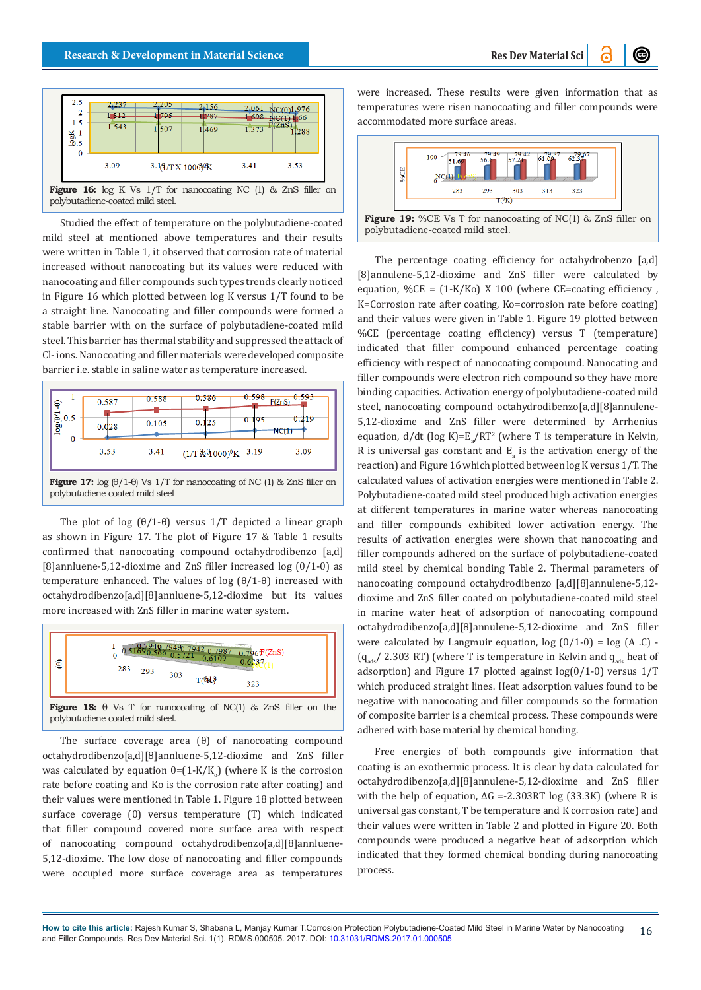**@** 



polybutadiene-coated mild steel.

Studied the effect of temperature on the polybutadiene-coated mild steel at mentioned above temperatures and their results were written in Table 1, it observed that corrosion rate of material increased without nanocoating but its values were reduced with nanocoating and filler compounds such types trends clearly noticed in Figure 16 which plotted between log K versus 1/T found to be a straight line. Nanocoating and filler compounds were formed a stable barrier with on the surface of polybutadiene-coated mild steel. This barrier has thermal stability and suppressed the attack of Cl- ions. Nanocoating and filler materials were developed composite barrier i.e. stable in saline water as temperature increased.



The plot of log  $(\theta/1-\theta)$  versus 1/T depicted a linear graph as shown in Figure 17. The plot of Figure 17 & Table 1 results confirmed that nanocoating compound octahydrodibenzo [a,d] [8]annluene-5,12-dioxime and ZnS filler increased log (θ/1-θ) as temperature enhanced. The values of log (θ/1-θ) increased with octahydrodibenzo[a,d][8]annluene-5,12-dioxime but its values more increased with ZnS filler in marine water system.



The surface coverage area (θ) of nanocoating compound octahydrodibenzo[a,d][8]annluene-5,12-dioxime and ZnS filler was calculated by equation  $\theta$ =(1-K/K<sub>o</sub>) (where K is the corrosion rate before coating and Ko is the corrosion rate after coating) and their values were mentioned in Table 1. Figure 18 plotted between surface coverage (θ) versus temperature (T) which indicated that filler compound covered more surface area with respect of nanocoating compound octahydrodibenzo[a,d][8]annluene-5,12-dioxime. The low dose of nanocoating and filler compounds were occupied more surface coverage area as temperatures

were increased. These results were given information that as temperatures were risen nanocoating and filler compounds were accommodated more surface areas.



**Figure 19:** %CE Vs T for nanocoating of NC(1) & ZnS filler on polybutadiene-coated mild steel.

The percentage coating efficiency for octahydrobenzo [a,d] [8]annulene-5,12-dioxime and ZnS filler were calculated by equation,  $\%$ CE = (1-K/Ko) X 100 (where CE=coating efficiency, K=Corrosion rate after coating, Ko=corrosion rate before coating) and their values were given in Table 1. Figure 19 plotted between %CE (percentage coating efficiency) versus T (temperature) indicated that filler compound enhanced percentage coating efficiency with respect of nanocoating compound. Nanocating and filler compounds were electron rich compound so they have more binding capacities. Activation energy of polybutadiene-coated mild steel, nanocoating compound octahydrodibenzo[a,d][8]annulene-5,12-dioxime and ZnS filler were determined by Arrhenius equation,  $d/dt$  (log K)= $E_a/RT^2$  (where T is temperature in Kelvin, R is universal gas constant and  $E_{a}$  is the activation energy of the reaction) and Figure 16 which plotted between log K versus 1/T. The calculated values of activation energies were mentioned in Table 2. Polybutadiene-coated mild steel produced high activation energies at different temperatures in marine water whereas nanocoating and filler compounds exhibited lower activation energy. The results of activation energies were shown that nanocoating and filler compounds adhered on the surface of polybutadiene-coated mild steel by chemical bonding Table 2. Thermal parameters of nanocoating compound octahydrodibenzo [a,d][8]annulene-5,12 dioxime and ZnS filler coated on polybutadiene-coated mild steel in marine water heat of adsorption of nanocoating compound octahydrodibenzo[a,d][8]annulene-5,12-dioxime and ZnS filler were calculated by Langmuir equation,  $log (θ/1-θ) = log (A .C)$ .  $(q_{\text{adv}}/ 2.303 \text{ RT})$  (where T is temperature in Kelvin and  $q_{\text{adv}}$  heat of adsorption) and Figure 17 plotted against  $log(\theta/1-\theta)$  versus 1/T which produced straight lines. Heat adsorption values found to be negative with nanocoating and filler compounds so the formation of composite barrier is a chemical process. These compounds were adhered with base material by chemical bonding.

Free energies of both compounds give information that coating is an exothermic process. It is clear by data calculated for octahydrodibenzo[a,d][8]annulene-5,12-dioxime and ZnS filler with the help of equation,  $\Delta G$  =-2.303RT log (33.3K) (where R is universal gas constant, T be temperature and K corrosion rate) and their values were written in Table 2 and plotted in Figure 20. Both compounds were produced a negative heat of adsorption which indicated that they formed chemical bonding during nanocoating process.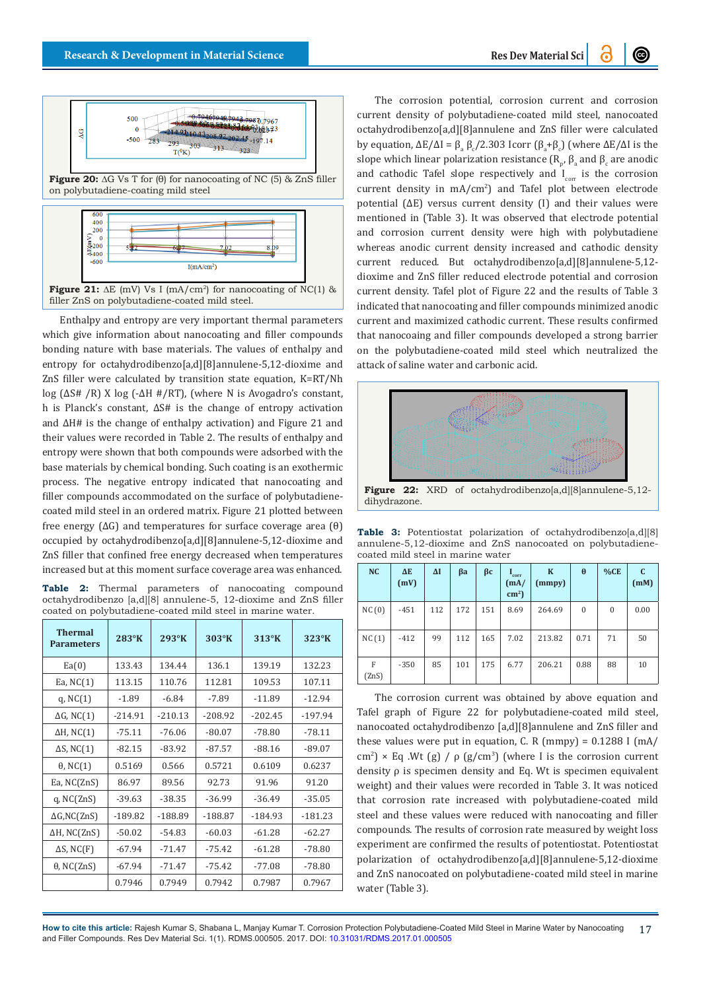

**Figure 21:** ∆E (mV) Vs I (mA/cm2) for nanocoating of NC(1) & filler ZnS on polybutadiene-coated mild steel.

Enthalpy and entropy are very important thermal parameters which give information about nanocoating and filler compounds bonding nature with base materials. The values of enthalpy and entropy for octahydrodibenzo[a,d][8]annulene-5,12-dioxime and ZnS filler were calculated by transition state equation, K=RT/Nh log (ΔS# /R) X log (-ΔH #/RT), (where N is Avogadro's constant, h is Planck's constant, ΔS# is the change of entropy activation and ΔH# is the change of enthalpy activation) and Figure 21 and their values were recorded in Table 2. The results of enthalpy and entropy were shown that both compounds were adsorbed with the base materials by chemical bonding. Such coating is an exothermic process. The negative entropy indicated that nanocoating and filler compounds accommodated on the surface of polybutadienecoated mild steel in an ordered matrix. Figure 21 plotted between free energy (∆G) and temperatures for surface coverage area (θ) occupied by octahydrodibenzo[a,d][8]annulene-5,12-dioxime and ZnS filler that confined free energy decreased when temperatures increased but at this moment surface coverage area was enhanced.

**Table 2:** Thermal parameters of nanocoating compound octahydrodibenzo [a,d][8] annulene-5, 12-dioxime and ZnS filler coated on polybutadiene-coated mild steel in marine water.

| <b>Thermal</b><br><b>Parameters</b> | $283^\circ K$ | 293°K     | $303^\circ K$ | $313^\circ K$ | $323^\circ K$ |
|-------------------------------------|---------------|-----------|---------------|---------------|---------------|
| Ea(0)                               | 133.43        | 134.44    | 136.1         | 139.19        | 132.23        |
| Ea, $NC(1)$                         | 113.15        | 110.76    | 112.81        | 109.53        | 107.11        |
| q, $NC(1)$                          | $-1.89$       | $-6.84$   | $-7.89$       | $-11.89$      | $-12.94$      |
| $\Delta G$ , NC(1)                  | $-214.91$     | $-210.13$ | $-208.92$     | $-202.45$     | $-197.94$     |
| $\Delta H$ , NC(1)                  | $-75.11$      | $-76.06$  | $-80.07$      | $-78.80$      | $-78.11$      |
| $\Delta S$ , NC(1)                  | $-82.15$      | $-83.92$  | $-87.57$      | $-88.16$      | $-89.07$      |
| $\theta$ , NC(1)                    | 0.5169        | 0.566     | 0.5721        | 0.6109        | 0.6237        |
| Ea, $NC(ZnS)$                       | 86.97         | 89.56     | 92.73         | 91.96         | 91.20         |
| $q$ , NC $(ZnS)$                    | $-39.63$      | $-38.35$  | $-36.99$      | $-36.49$      | $-35.05$      |
| $\Delta G, NC(ZnS)$                 | $-189.82$     | $-188.89$ | $-188.87$     | $-184.93$     | $-181.23$     |
| $\Delta H$ , NC(ZnS)                | $-50.02$      | $-54.83$  | $-60.03$      | $-61.28$      | $-62.27$      |
| $\Delta S$ , NC(F)                  | $-67.94$      | $-71.47$  | $-75.42$      | $-61.28$      | $-78.80$      |
| $\theta$ , NC(ZnS)                  | $-67.94$      | $-71.47$  | $-75.42$      | $-77.08$      | $-78.80$      |
|                                     | 0.7946        | 0.7949    | 0.7942        | 0.7987        | 0.7967        |

The corrosion potential, corrosion current and corrosion current density of polybutadiene-coated mild steel, nanocoated octahydrodibenzo[a,d][8]annulene and ZnS filler were calculated by equation, ΔE/ΔI =  $\beta_a \beta_c/2.303$  Icorr ( $\beta_a + \beta_c$ ) (where ΔE/ΔI is the slope which linear polarization resistance  $(\mathtt{R}_\mathtt{p}, \mathtt{B}_\mathtt{a}$  and  $\mathtt{B}_\mathtt{c}$  are anodic and cathodic Tafel slope respectively and  $I_{corr}$  is the corrosion current density in mA/cm<sup>2</sup> ) and Tafel plot between electrode potential (∆E) versus current density (I) and their values were mentioned in (Table 3). It was observed that electrode potential and corrosion current density were high with polybutadiene whereas anodic current density increased and cathodic density current reduced. But octahydrodibenzo[a,d][8]annulene-5,12 dioxime and ZnS filler reduced electrode potential and corrosion current density. Tafel plot of Figure 22 and the results of Table 3 indicated that nanocoating and filler compounds minimized anodic current and maximized cathodic current. These results confirmed that nanocoaing and filler compounds developed a strong barrier on the polybutadiene-coated mild steel which neutralized the attack of saline water and carbonic acid.



dihydrazone.

**Table 3:** Potentiostat polarization of octahydrodibenzo[a,d][8] annulene-5,12-dioxime and ZnS nanocoated on polybutadienecoated mild steel in marine water

| NC         | $\Delta E$<br>(mV) | $\Delta I$ | βa  | $\beta$ c | $\mathbf{I}_{\rm corr}$<br>(mA)<br>$\text{cm}^2$ ) | $\bf K$<br>(mmpy) | $\theta$     | %CE          | C.<br>(mM) |
|------------|--------------------|------------|-----|-----------|----------------------------------------------------|-------------------|--------------|--------------|------------|
| NC(0)      | $-451$             | 112        | 172 | 151       | 8.69                                               | 264.69            | $\mathbf{0}$ | $\mathbf{0}$ | 0.00       |
| NC(1)      | $-412$             | 99         | 112 | 165       | 7.02                                               | 213.82            | 0.71         | 71           | 50         |
| F<br>(ZnS) | $-350$             | 85         | 101 | 175       | 6.77                                               | 206.21            | 0.88         | 88           | 10         |

The corrosion current was obtained by above equation and Tafel graph of Figure 22 for polybutadiene-coated mild steel, nanocoated octahydrodibenzo [a,d][8]annulene and ZnS filler and these values were put in equation, C. R (mmpy) =  $0.1288$  I (mA/ cm<sup>2</sup>) × Eq .Wt (g) /  $\rho$  (g/cm<sup>3</sup>) (where I is the corrosion current density ρ is specimen density and Eq. Wt is specimen equivalent weight) and their values were recorded in Table 3. It was noticed that corrosion rate increased with polybutadiene-coated mild steel and these values were reduced with nanocoating and filler compounds. The results of corrosion rate measured by weight loss experiment are confirmed the results of potentiostat. Potentiostat polarization of octahydrodibenzo[a,d][8]annulene-5,12-dioxime and ZnS nanocoated on polybutadiene-coated mild steel in marine water (Table 3).